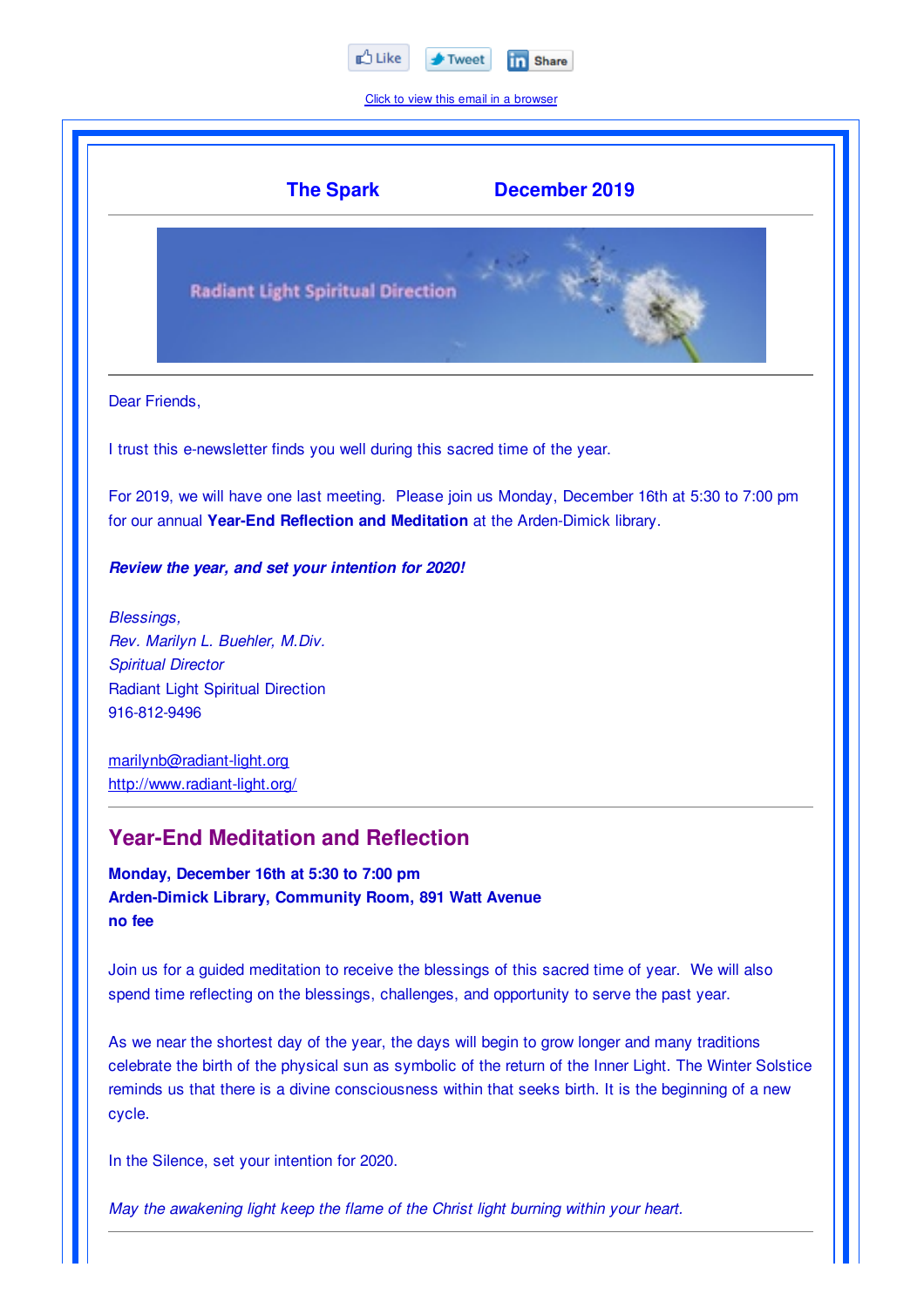

Click to view this email in a browser



In the Silence, set your intention for 2020.

*May the awakening light keep the flame of the Christ light burning within your heart.*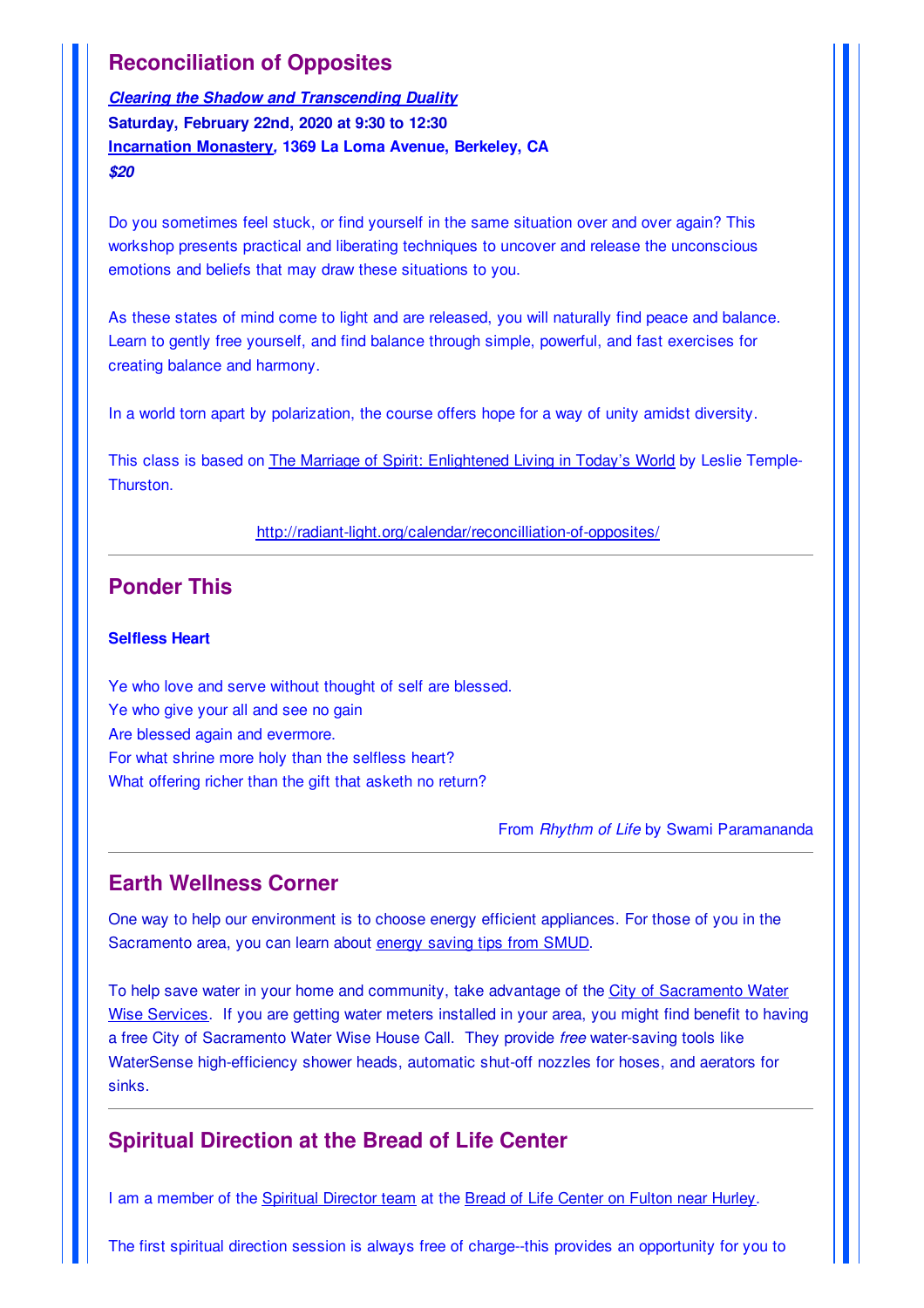# **Reconciliation of Opposites**

*Clearing the Shadow and Transcending Duality* **Saturday, February 22nd, 2020 at 9:30 to 12:30 Incarnation Monastery***,* **1369 La Loma Avenue, Berkeley, CA** *\$20*

Do you sometimes feel stuck, or find yourself in the same situation over and over again? This workshop presents practical and liberating techniques to uncover and release the unconscious emotions and beliefs that may draw these situations to you.

As these states of mind come to light and are released, you will naturally find peace and balance. Learn to gently free yourself, and find balance through simple, powerful, and fast exercises for creating balance and harmony.

In a world torn apart by polarization, the course offers hope for a way of unity amidst diversity.

This class is based on The Marriage of Spirit: Enlightened Living in Today's World by Leslie Temple-Thurston.

http://radiant-light.org/calendar/reconcilliation-of-opposites/

## **Ponder This**

#### **Selfless Heart**

Ye who love and serve without thought of self are blessed. Ye who give your all and see no gain Are blessed again and evermore. For what shrine more holy than the selfless heart? What offering richer than the gift that asketh no return?

From *Rhythm of Life* by Swami Paramananda

## **Earth Wellness Corner**

One way to help our environment is to choose energy efficient appliances. For those of you in the Sacramento area, you can learn about energy saving tips from SMUD.

To help save water in your home and community, take advantage of the City of Sacramento Water Wise Services. If you are getting water meters installed in your area, you might find benefit to having a free City of Sacramento Water Wise House Call. They provide *free* water-saving tools like WaterSense high-efficiency shower heads, automatic shut-off nozzles for hoses, and aerators for sinks.

### **Spiritual Direction at the Bread of Life Center**

I am a member of the Spiritual Director team at the Bread of Life Center on Fulton near Hurley.

The first spiritual direction session is always free of charge--this provides an opportunity for you to